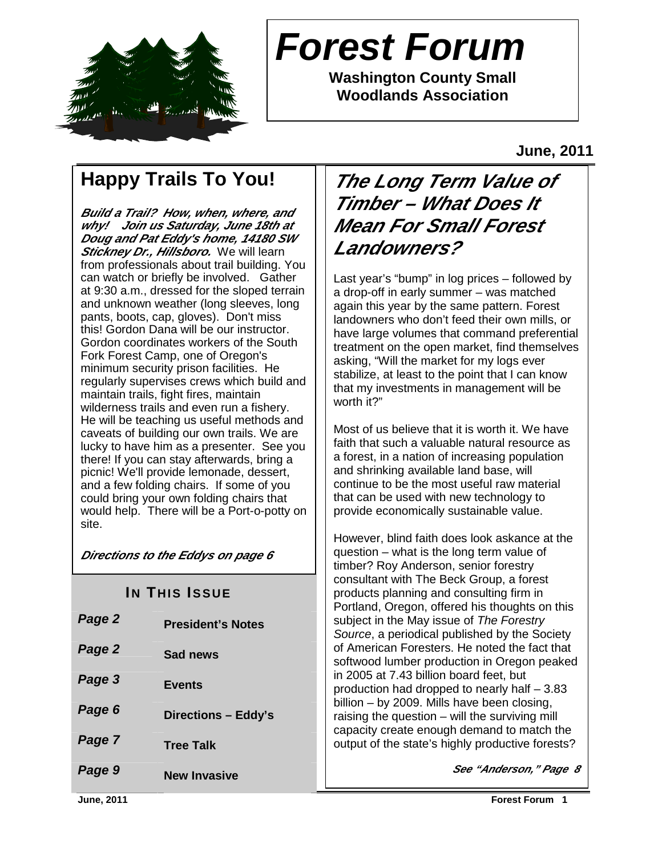

# **Forest Forum**

**Washington County Small Woodlands Association** 

**June, 2011** 

# **Happy Trails To You!**

**Build a Trail? How, when, where, and why! Join us Saturday, June 18th at Doug and Pat Eddy's home, 14180 SW Stickney Dr., Hillsboro.** We will learn from professionals about trail building. You can watch or briefly be involved. Gather at 9:30 a.m., dressed for the sloped terrain and unknown weather (long sleeves, long pants, boots, cap, gloves). Don't miss this! Gordon Dana will be our instructor. Gordon coordinates workers of the South Fork Forest Camp, one of Oregon's minimum security prison facilities. He regularly supervises crews which build and maintain trails, fight fires, maintain wilderness trails and even run a fishery. He will be teaching us useful methods and caveats of building our own trails. We are lucky to have him as a presenter. See you there! If you can stay afterwards, bring a picnic! We'll provide lemonade, dessert, and a few folding chairs. If some of you could bring your own folding chairs that would help. There will be a Port-o-potty on site.

**Directions to the Eddys on page 6** 

| Page 2 | <b>President's Notes</b> |
|--------|--------------------------|
| Page 2 | Sad news                 |
| Page 3 | <b>Events</b>            |
| Page 6 | Directions - Eddy's      |
| Page 7 | <b>Tree Talk</b>         |
| Page 9 | <b>New Invasive</b>      |

# **The Long Term Value of Timber – What Does It Mean For Small Forest Landowners?**

Last year's "bump" in log prices – followed by a drop-off in early summer – was matched again this year by the same pattern. Forest landowners who don't feed their own mills, or have large volumes that command preferential treatment on the open market, find themselves asking, "Will the market for my logs ever stabilize, at least to the point that I can know that my investments in management will be worth it?"

Most of us believe that it is worth it. We have faith that such a valuable natural resource as a forest, in a nation of increasing population and shrinking available land base, will continue to be the most useful raw material that can be used with new technology to provide economically sustainable value.

timber? Roy Anderson, senior forestry<br>consultant with The Book Croup a forest **IN THIS ISSUE** However, blind faith does look askance at the question – what is the long term value of consultant with The Beck Group, a forest Portland, Oregon, offered his thoughts on this subject in the May issue of The Forestry Source, a periodical published by the Society of American Foresters. He noted the fact that softwood lumber production in Oregon peaked in 2005 at 7.43 billion board feet, but production had dropped to nearly half – 3.83 billion – by 2009. Mills have been closing, raising the question – will the surviving mill capacity create enough demand to match the output of the state's highly productive forests?

**See "Anderson," Page 8**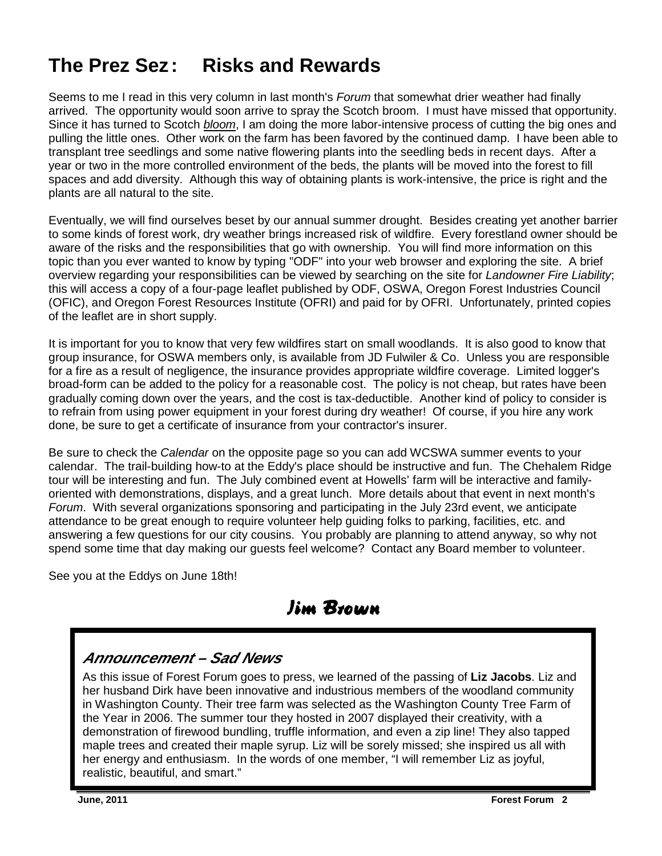# **The Prez Sez : Risks and Rewards**

Seems to me I read in this very column in last month's *Forum* that somewhat drier weather had finally arrived. The opportunity would soon arrive to spray the Scotch broom. I must have missed that opportunity. Since it has turned to Scotch *bloom*, I am doing the more labor-intensive process of cutting the big ones and pulling the little ones. Other work on the farm has been favored by the continued damp. I have been able to transplant tree seedlings and some native flowering plants into the seedling beds in recent days. After a year or two in the more controlled environment of the beds, the plants will be moved into the forest to fill spaces and add diversity. Although this way of obtaining plants is work-intensive, the price is right and the plants are all natural to the site.

Eventually, we will find ourselves beset by our annual summer drought. Besides creating yet another barrier to some kinds of forest work, dry weather brings increased risk of wildfire. Every forestland owner should be aware of the risks and the responsibilities that go with ownership. You will find more information on this topic than you ever wanted to know by typing "ODF" into your web browser and exploring the site. A brief overview regarding your responsibilities can be viewed by searching on the site for Landowner Fire Liability; this will access a copy of a four-page leaflet published by ODF, OSWA, Oregon Forest Industries Council (OFIC), and Oregon Forest Resources Institute (OFRI) and paid for by OFRI. Unfortunately, printed copies of the leaflet are in short supply.

It is important for you to know that very few wildfires start on small woodlands. It is also good to know that group insurance, for OSWA members only, is available from JD Fulwiler & Co. Unless you are responsible for a fire as a result of negligence, the insurance provides appropriate wildfire coverage. Limited logger's broad-form can be added to the policy for a reasonable cost. The policy is not cheap, but rates have been gradually coming down over the years, and the cost is tax-deductible. Another kind of policy to consider is to refrain from using power equipment in your forest during dry weather! Of course, if you hire any work done, be sure to get a certificate of insurance from your contractor's insurer.

Be sure to check the *Calendar* on the opposite page so you can add WCSWA summer events to your calendar. The trail-building how-to at the Eddy's place should be instructive and fun. The Chehalem Ridge tour will be interesting and fun. The July combined event at Howells' farm will be interactive and familyoriented with demonstrations, displays, and a great lunch. More details about that event in next month's Forum. With several organizations sponsoring and participating in the July 23rd event, we anticipate attendance to be great enough to require volunteer help guiding folks to parking, facilities, etc. and answering a few questions for our city cousins. You probably are planning to attend anyway, so why not spend some time that day making our guests feel welcome? Contact any Board member to volunteer.

See you at the Eddys on June 18th!

Jim Brown Jim Brown

#### **Announcement – Sad News**

As this issue of Forest Forum goes to press, we learned of the passing of **Liz Jacobs**. Liz and her husband Dirk have been innovative and industrious members of the woodland community in Washington County. Their tree farm was selected as the Washington County Tree Farm of the Year in 2006. The summer tour they hosted in 2007 displayed their creativity, with a demonstration of firewood bundling, truffle information, and even a zip line! They also tapped maple trees and created their maple syrup. Liz will be sorely missed; she inspired us all with her energy and enthusiasm. In the words of one member, "I will remember Liz as joyful, realistic, beautiful, and smart."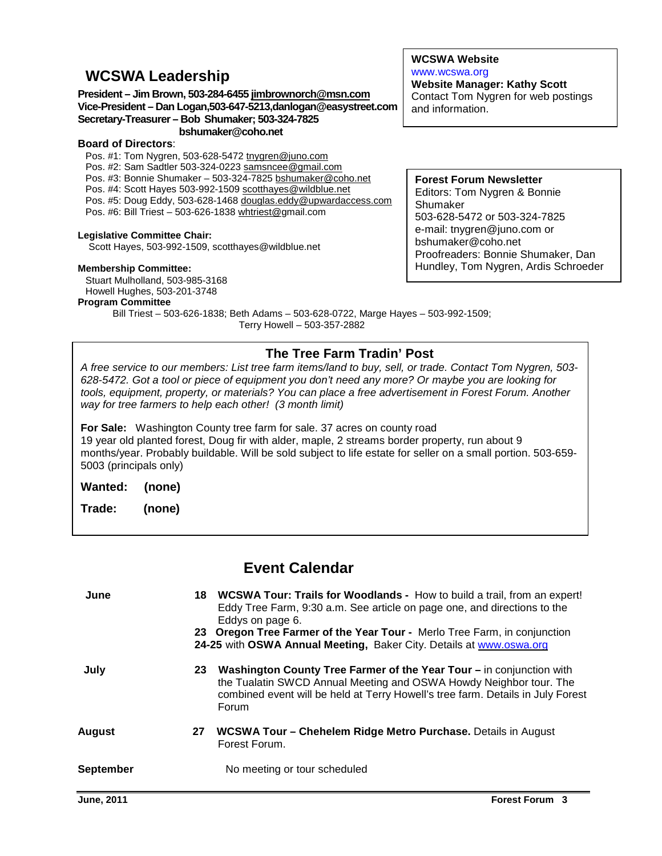#### **WCSWA Leadership**

#### **President – Jim Brown, 503-284-6455 jimbrownorch@msn.com Vice-President – Dan Logan,503-647-5213,danlogan@easystreet.com Secretary-Treasurer – Bob Shumaker; 503-324-7825 bshumaker@coho.net**

#### **Board of Directors**:

Pos. #1: Tom Nygren, 503-628-5472 tnygren@juno.com Pos. #2: Sam Sadtler 503-324-0223 samsncee@gmail.com Pos. #3: Bonnie Shumaker – 503-324-7825 bshumaker@coho.net Pos. #4: Scott Hayes 503-992-1509 scotthayes@wildblue.net Pos. #5: Doug Eddy, 503-628-1468 douglas.eddy@upwardaccess.com Pos. #6: Bill Triest – 503-626-1838 whtriest@gmail.com

#### **Legislative Committee Chair:**

Scott Hayes, 503-992-1509, scotthayes@wildblue.net

#### **Membership Committee:**

Stuart Mulholland, 503-985-3168 Howell Hughes, 503-201-3748

#### **Program Committee**

Bill Triest – 503-626-1838; Beth Adams – 503-628-0722, Marge Hayes – 503-992-1509; Terry Howell – 503-357-2882

#### **The Tree Farm Tradin' Post**

A free service to our members: List tree farm items/land to buy, sell, or trade. Contact Tom Nygren, 503- 628-5472. Got a tool or piece of equipment you don't need any more? Or maybe you are looking for tools, equipment, property, or materials? You can place a free advertisement in Forest Forum. Another way for tree farmers to help each other! (3 month limit)

**For Sale:** Washington County tree farm for sale. 37 acres on county road 19 year old planted forest, Doug fir with alder, maple, 2 streams border property, run about 9 months/year. Probably buildable. Will be sold subject to life estate for seller on a small portion. 503-659- 5003 (principals only)

**Wanted: (none)** 

**Trade: (none)** 

#### **Event Calendar**

| June      |    | 18 WCSWA Tour: Trails for Woodlands - How to build a trail, from an expert!<br>Eddy Tree Farm, 9:30 a.m. See article on page one, and directions to the<br>Eddys on page 6.<br>23 Oregon Tree Farmer of the Year Tour - Merlo Tree Farm, in conjunction<br>24-25 with OSWA Annual Meeting, Baker City. Details at www.oswa.org |
|-----------|----|--------------------------------------------------------------------------------------------------------------------------------------------------------------------------------------------------------------------------------------------------------------------------------------------------------------------------------|
| July      | 23 | Washington County Tree Farmer of the Year Tour – in conjunction with<br>the Tualatin SWCD Annual Meeting and OSWA Howdy Neighbor tour. The<br>combined event will be held at Terry Howell's tree farm. Details in July Forest<br>Forum                                                                                         |
| August    | 27 | WCSWA Tour - Chehelem Ridge Metro Purchase. Details in August<br>Forest Forum.                                                                                                                                                                                                                                                 |
| September |    | No meeting or tour scheduled                                                                                                                                                                                                                                                                                                   |

#### **WCSWA Website** www.wcswa.org **Website Manager: Kathy Scott**

Contact Tom Nygren for web postings and information.

#### **Forest Forum Newsletter** Editors: Tom Nygren & Bonnie

Shumaker 503-628-5472 or 503-324-7825 e-mail: tnygren@juno.com or bshumaker@coho.net Proofreaders: Bonnie Shumaker, Dan Hundley, Tom Nygren, Ardis Schroeder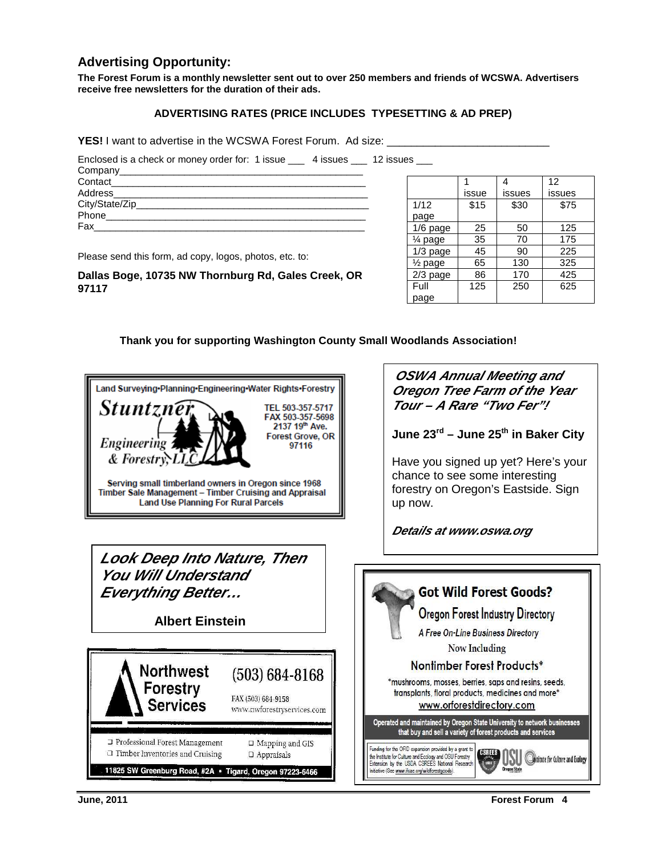#### **Advertising Opportunity:**

**The Forest Forum is a monthly newsletter sent out to over 250 members and friends of WCSWA. Advertisers receive free newsletters for the duration of their ads.** 

#### **ADVERTISING RATES (PRICE INCLUDES TYPESETTING & AD PREP)**

**YES!** I want to advertise in the WCSWA Forest Forum. Ad size:

Enclosed is a check or money order for: 1 issue \_\_\_ 4 issues \_\_\_ 12 issues \_\_\_

| Address________________________ |  |
|---------------------------------|--|
|                                 |  |
| Phone                           |  |
| Fax                             |  |
|                                 |  |

Please send this form, ad copy, logos, photos, etc. to:

**Dallas Boge, 10735 NW Thornburg Rd, Gales Creek, OR 97117** 

|                    |       |        | 12     |
|--------------------|-------|--------|--------|
|                    | issue | issues | issues |
| 1/12               | \$15  | \$30   | \$75   |
| page               |       |        |        |
| $1/6$ page         | 25    | 50     | 125    |
| 1⁄4 page           | 35    | 70     | 175    |
| $1/3$ page         | 45    | 90     | 225    |
| $\frac{1}{2}$ page | 65    | 130    | 325    |
| 2/3 page           | 86    | 170    | 425    |
| Full               | 125   | 250    | 625    |
| page               |       |        |        |

 **Thank you for supporting Washington County Small Woodlands Association!** 

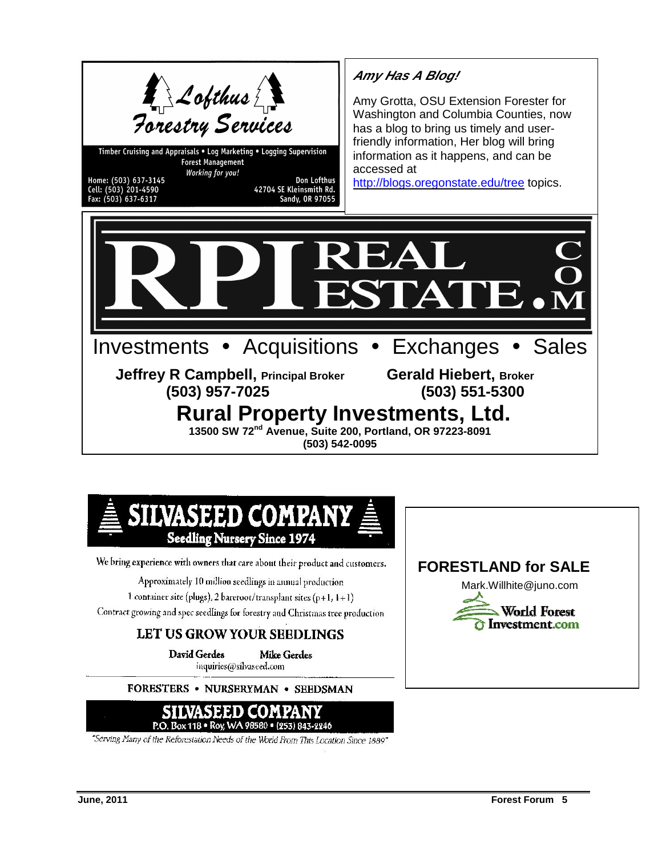

Timber Cruising and Appraisals . Log Marketing . Logging Supervision **Forest Management** Working for you! Home: (503) 637-3145

Cell: (503) 201-4590<br>Fax: (503) 637-6317

Don Lofthus 42704 SE Kleinsmith Rd.<br>Sandy, OR 97055

### **Amy Has A Blog!**

Amy Grotta, OSU Extension Forester for Washington and Columbia Counties, now has a blog to bring us timely and userfriendly information, Her blog will bring information as it happens, and can be accessed at

http://blogs.oregonstate.edu/tree topics.





We bring experience with owners that care about their product and customers.

Approximately 10 million seedlings in annual production

1 container site (plugs), 2 bareroot/transplant sites (p+1,  $1+1$ )

Contract growing and spec seedlings for forestry and Christmas tree production

#### LET US GROW YOUR SEEDLINGS

**David Gerdes Mike Gerdes** inquiries@silvaseed.com

FORESTERS • NURSERYMAN • SEEDSMAN



"Serving Many of the Reforcstation Needs of the World From This Location Since 1889"

#### **FORESTLAND for SALE**

Mark.Willhite@juno.com

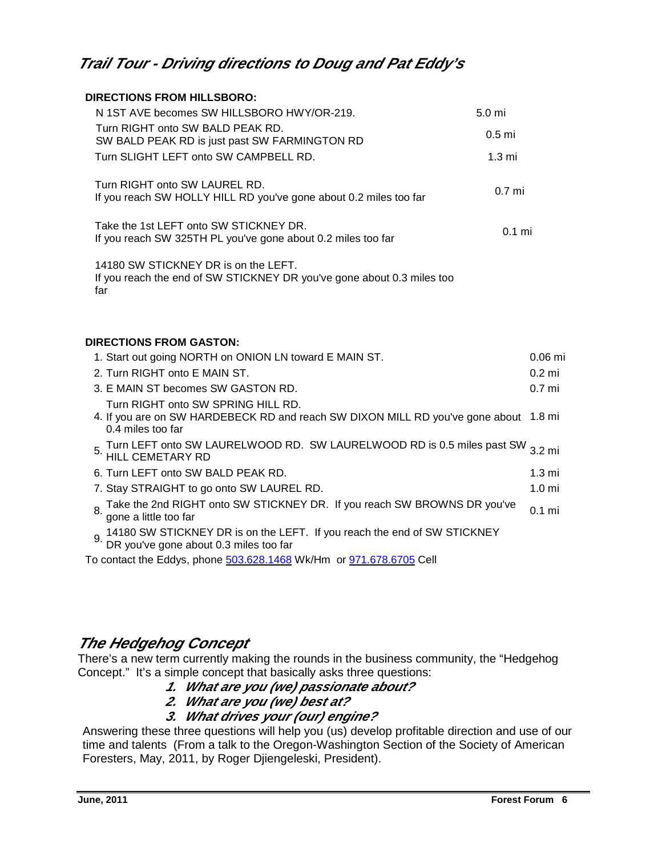#### **Trail Tour - Driving directions to Doug and Pat Eddy's**

| <b>DIRECTIONS FROM HILLSBORO:</b>                                                                                                               |                   |
|-------------------------------------------------------------------------------------------------------------------------------------------------|-------------------|
| N 1ST AVE becomes SW HILLSBORO HWY/OR-219.<br>5.0 mi                                                                                            |                   |
| Turn RIGHT onto SW BALD PEAK RD.<br>0.5 <sub>mi</sub><br>SW BALD PEAK RD is just past SW FARMINGTON RD                                          |                   |
| Turn SLIGHT LEFT onto SW CAMPBELL RD.<br>1.3 <sub>m</sub>                                                                                       |                   |
| Turn RIGHT onto SW LAUREL RD.<br>0.7 <sub>mi</sub><br>If you reach SW HOLLY HILL RD you've gone about 0.2 miles too far                         |                   |
| Take the 1st LEFT onto SW STICKNEY DR.<br>If you reach SW 325TH PL you've gone about 0.2 miles too far                                          | $0.1$ mi          |
| 14180 SW STICKNEY DR is on the LEFT.<br>If you reach the end of SW STICKNEY DR you've gone about 0.3 miles too<br>far                           |                   |
| <b>DIRECTIONS FROM GASTON:</b>                                                                                                                  |                   |
| 1. Start out going NORTH on ONION LN toward E MAIN ST.                                                                                          | $0.06$ mi         |
| 2. Turn RIGHT onto E MAIN ST.                                                                                                                   | $0.2$ mi          |
| 3. E MAIN ST becomes SW GASTON RD.                                                                                                              | 0.7 <sub>m</sub>  |
| Turn RIGHT onto SW SPRING HILL RD.<br>4. If you are on SW HARDEBECK RD and reach SW DIXON MILL RD you've gone about 1.8 mi<br>0.4 miles too far |                   |
| Turn LEFT onto SW LAURELWOOD RD. SW LAURELWOOD RD is 0.5 miles past SW 3.2 mi<br><b>HILL CEMETARY RD</b>                                        |                   |
| 6. Turn LEFT onto SW BALD PEAK RD.                                                                                                              | 1.3 <sub>mi</sub> |
| 7. Stay STRAIGHT to go onto SW LAUREL RD.                                                                                                       | 1.0 <sub>m</sub>  |
| Take the 2nd RIGHT onto SW STICKNEY DR. If you reach SW BROWNS DR you've<br>8.<br>gone a little too far                                         | $0.1$ mi          |
| 9. 14180 SW STICKNEY DR is on the LEFT. If you reach the end of SW STICKNEY<br>DR you've gone about 0.3 miles too far                           |                   |
| To contact the Eddys, phone 503.628.1468 Wk/Hm or 971.678.6705 Cell                                                                             |                   |

#### **The Hedgehog Concept**

There's a new term currently making the rounds in the business community, the "Hedgehog Concept." It's a simple concept that basically asks three questions:

- **1. What are you (we) passionate about?**
- **2. What are you (we) best at?**
- **3. What drives your (our) engine?**

Answering these three questions will help you (us) develop profitable direction and use of our time and talents (From a talk to the Oregon-Washington Section of the Society of American Foresters, May, 2011, by Roger Djiengeleski, President).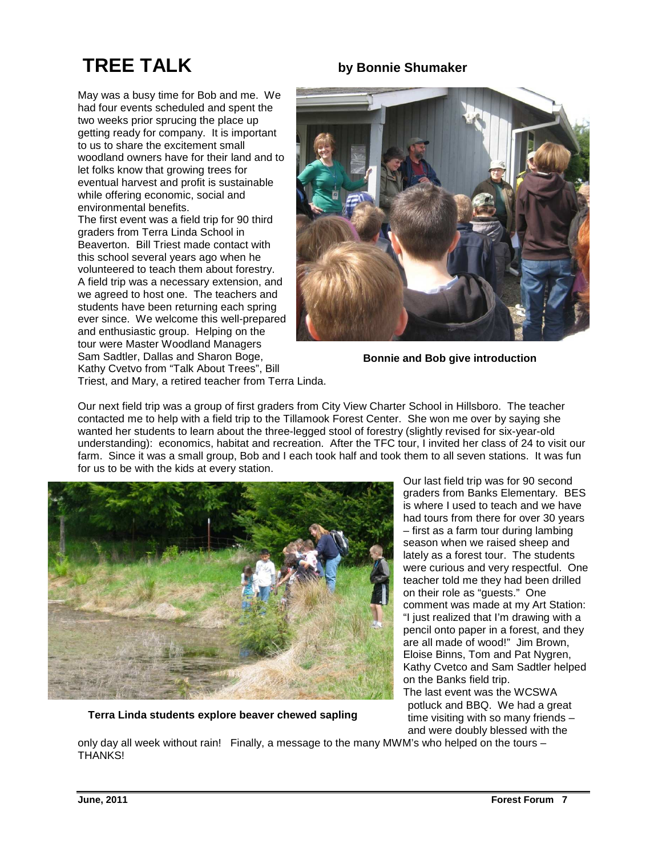# **TREE TALK by Bonnie Shumaker**

May was a busy time for Bob and me. We had four events scheduled and spent the two weeks prior sprucing the place up getting ready for company. It is important to us to share the excitement small woodland owners have for their land and to let folks know that growing trees for eventual harvest and profit is sustainable

environmental benefits. The first event was a field trip for 90 third graders from Terra Linda School in Beaverton. Bill Triest made contact with this school several years ago when he volunteered to teach them about forestry. A field trip was a necessary extension, and we agreed to host one. The teachers and students have been returning each spring ever since. We welcome this well-prepared and enthusiastic group. Helping on the tour were Master Woodland Managers Sam Sadtler, Dallas and Sharon Boge, Kathy Cvetvo from "Talk About Trees", Bill Triest, and Mary, a retired teacher from Terra Linda.

while offering economic, social and

**Bonnie and Bob give introduction** 

Our next field trip was a group of first graders from City View Charter School in Hillsboro. The teacher contacted me to help with a field trip to the Tillamook Forest Center. She won me over by saying she wanted her students to learn about the three-legged stool of forestry (slightly revised for six-year-old understanding): economics, habitat and recreation. After the TFC tour, I invited her class of 24 to visit our farm. Since it was a small group, Bob and I each took half and took them to all seven stations. It was fun for us to be with the kids at every station.



**Terra Linda students explore beaver chewed sapling** 

Our last field trip was for 90 second graders from Banks Elementary. BES is where I used to teach and we have had tours from there for over 30 years – first as a farm tour during lambing season when we raised sheep and lately as a forest tour. The students were curious and very respectful. One teacher told me they had been drilled on their role as "guests." One comment was made at my Art Station: "I just realized that I'm drawing with a pencil onto paper in a forest, and they are all made of wood!" Jim Brown, Eloise Binns, Tom and Pat Nygren, Kathy Cvetco and Sam Sadtler helped on the Banks field trip. The last event was the WCSWA

potluck and BBQ. We had a great time visiting with so many friends – and were doubly blessed with the

only day all week without rain! Finally, a message to the many MWM's who helped on the tours – THANKS!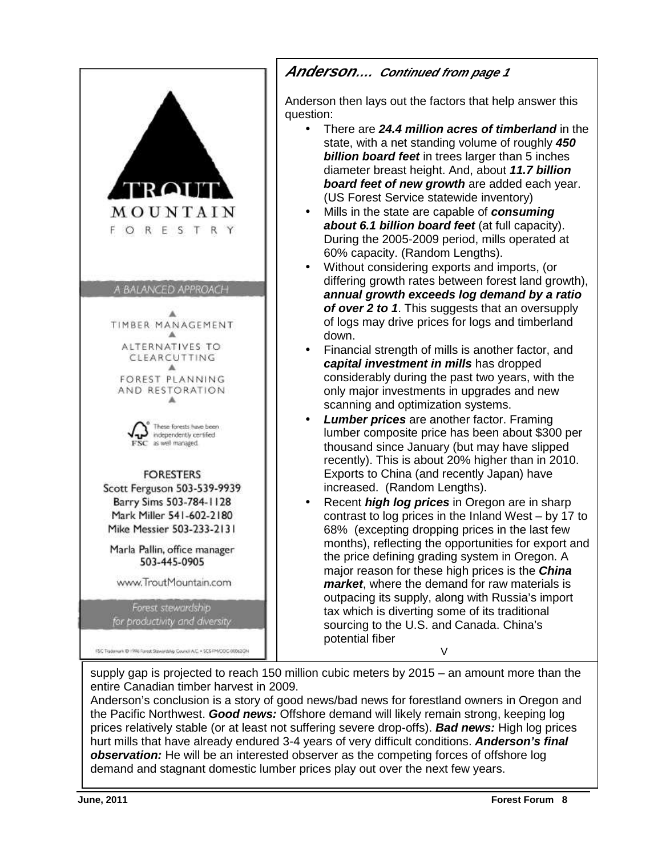

#### **Anderson…. Continued from page 1**

Anderson then lays out the factors that help answer this question:

- There are **24.4 million acres of timberland** in the state, with a net standing volume of roughly **450 billion board feet** in trees larger than 5 inches diameter breast height. And, about **11.7 billion board feet of new growth** are added each year. (US Forest Service statewide inventory)
- Mills in the state are capable of **consuming about 6.1 billion board feet** (at full capacity). During the 2005-2009 period, mills operated at 60% capacity. (Random Lengths).
- Without considering exports and imports, (or differing growth rates between forest land growth), **annual growth exceeds log demand by a ratio of over 2 to 1**. This suggests that an oversupply of logs may drive prices for logs and timberland down.
- Financial strength of mills is another factor, and **capital investment in mills** has dropped considerably during the past two years, with the only major investments in upgrades and new scanning and optimization systems.
- **Lumber prices** are another factor. Framing lumber composite price has been about \$300 per thousand since January (but may have slipped recently). This is about 20% higher than in 2010. Exports to China (and recently Japan) have increased. (Random Lengths).
- Recent **high log prices** in Oregon are in sharp contrast to log prices in the Inland West – by 17 to 68% (excepting dropping prices in the last few months), reflecting the opportunities for export and the price defining grading system in Oregon. A major reason for these high prices is the **China market**, where the demand for raw materials is outpacing its supply, along with Russia's import tax which is diverting some of its traditional sourcing to the U.S. and Canada. China's potential fiber  $\vee$

supply gap is projected to reach 150 million cubic meters by 2015 – an amount more than the entire Canadian timber harvest in 2009.

Anderson's conclusion is a story of good news/bad news for forestland owners in Oregon and the Pacific Northwest. **Good news:** Offshore demand will likely remain strong, keeping log prices relatively stable (or at least not suffering severe drop-offs). **Bad news:** High log prices hurt mills that have already endured 3-4 years of very difficult conditions. **Anderson's final observation:** He will be an interested observer as the competing forces of offshore log demand and stagnant domestic lumber prices play out over the next few years.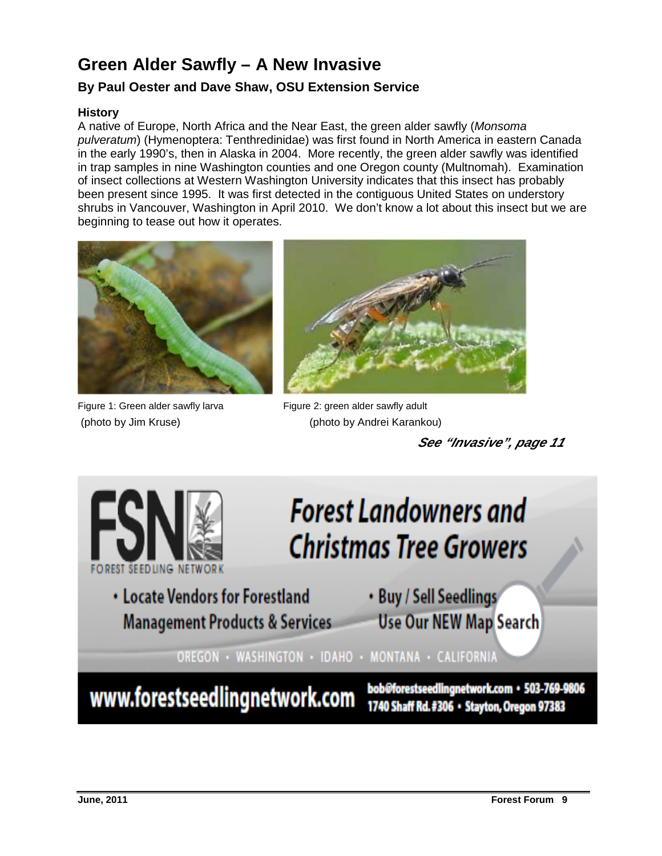## **Green Alder Sawfly – A New Invasive**

#### **By Paul Oester and Dave Shaw, OSU Extension Service**

#### **History**

A native of Europe, North Africa and the Near East, the green alder sawfly (Monsoma pulveratum) (Hymenoptera: Tenthredinidae) was first found in North America in eastern Canada in the early 1990's, then in Alaska in 2004. More recently, the green alder sawfly was identified in trap samples in nine Washington counties and one Oregon county (Multnomah). Examination of insect collections at Western Washington University indicates that this insect has probably been present since 1995. It was first detected in the contiguous United States on understory shrubs in Vancouver, Washington in April 2010. We don't know a lot about this insect but we are beginning to tease out how it operates.



Figure 1: Green alder sawfly larva Figure 2: green alder sawfly adult



(photo by Jim Kruse) (photo by Andrei Karankou)

 **See "Invasive", page 11** 

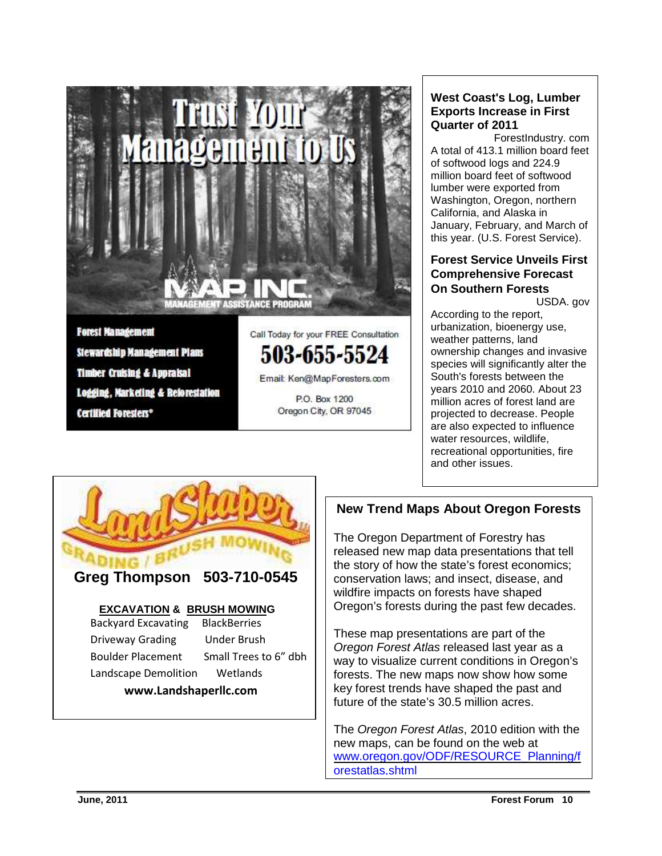

#### **West Coast's Log, Lumber Exports Increase in First Quarter of 2011**

ForestIndustry. com A total of 413.1 million board feet of softwood logs and 224.9 million board feet of softwood lumber were exported from Washington, Oregon, northern California, and Alaska in January, February, and March of this year. (U.S. Forest Service).

#### **Forest Service Unveils First Comprehensive Forecast On Southern Forests**

USDA. gov

According to the report, urbanization, bioenergy use, weather patterns, land ownership changes and invasive species will significantly alter the South's forests between the years 2010 and 2060. About 23 million acres of forest land are projected to decrease. People are also expected to influence water resources, wildlife, recreational opportunities, fire and other issues.



#### **New Trend Maps About Oregon Forests**

The Oregon Department of Forestry has released new map data presentations that tell the story of how the state's forest economics; conservation laws; and insect, disease, and wildfire impacts on forests have shaped Oregon's forests during the past few decades.

These map presentations are part of the Oregon Forest Atlas released last year as a way to visualize current conditions in Oregon's forests. The new maps now show how some key forest trends have shaped the past and future of the state's 30.5 million acres.

The Oregon Forest Atlas, 2010 edition with the new maps, can be found on the web at www.oregon.gov/ODF/RESOURCE\_Planning/f orestatlas,shtml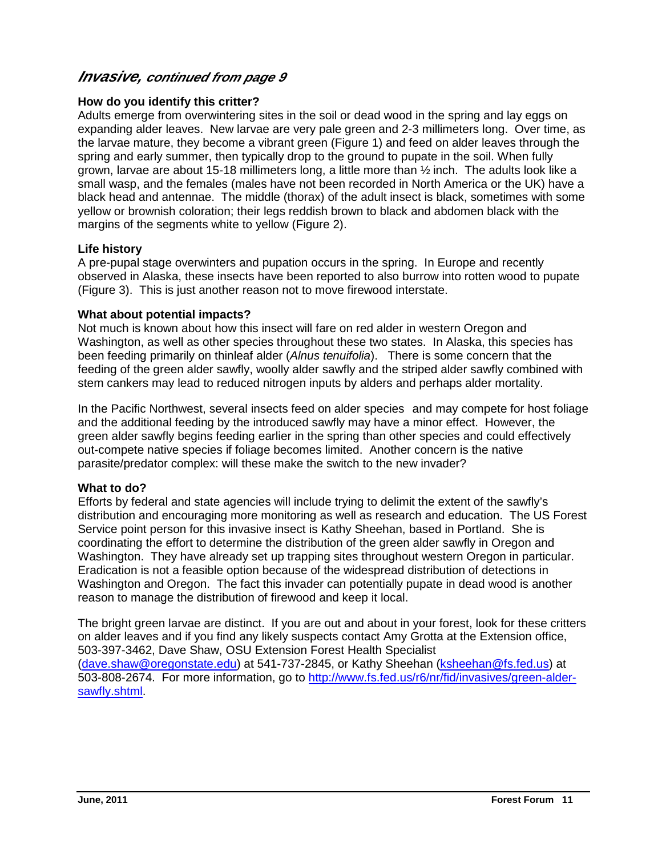#### **Invasive, continued from page 9**

#### **How do you identify this critter?**

Adults emerge from overwintering sites in the soil or dead wood in the spring and lay eggs on expanding alder leaves. New larvae are very pale green and 2-3 millimeters long. Over time, as the larvae mature, they become a vibrant green (Figure 1) and feed on alder leaves through the spring and early summer, then typically drop to the ground to pupate in the soil. When fully grown, larvae are about 15-18 millimeters long, a little more than ½ inch. The adults look like a small wasp, and the females (males have not been recorded in North America or the UK) have a black head and antennae. The middle (thorax) of the adult insect is black, sometimes with some yellow or brownish coloration; their legs reddish brown to black and abdomen black with the margins of the segments white to yellow (Figure 2).

#### **Life history**

A pre-pupal stage overwinters and pupation occurs in the spring. In Europe and recently observed in Alaska, these insects have been reported to also burrow into rotten wood to pupate (Figure 3). This is just another reason not to move firewood interstate.

#### **What about potential impacts?**

Not much is known about how this insect will fare on red alder in western Oregon and Washington, as well as other species throughout these two states. In Alaska, this species has been feeding primarily on thinleaf alder (Alnus tenuifolia). There is some concern that the feeding of the green alder sawfly, woolly alder sawfly and the striped alder sawfly combined with stem cankers may lead to reduced nitrogen inputs by alders and perhaps alder mortality.

In the Pacific Northwest, several insects feed on alder species and may compete for host foliage and the additional feeding by the introduced sawfly may have a minor effect. However, the green alder sawfly begins feeding earlier in the spring than other species and could effectively out-compete native species if foliage becomes limited. Another concern is the native parasite/predator complex: will these make the switch to the new invader? Ī

#### **What to do?**

Efforts by federal and state agencies will include trying to delimit the extent of the sawfly's distribution and encouraging more monitoring as well as research and education. The US Forest Service point person for this invasive insect is Kathy Sheehan, based in Portland. She is coordinating the effort to determine the distribution of the green alder sawfly in Oregon and Washington. They have already set up trapping sites throughout western Oregon in particular. Eradication is not a feasible option because of the widespread distribution of detections in Washington and Oregon. The fact this invader can potentially pupate in dead wood is another reason to manage the distribution of firewood and keep it local.

The bright green larvae are distinct. If you are out and about in your forest, look for these critters on alder leaves and if you find any likely suspects contact Amy Grotta at the Extension office, 503-397-3462, Dave Shaw, OSU Extension Forest Health Specialist (dave.shaw@oregonstate.edu) at 541-737-2845, or Kathy Sheehan (ksheehan@fs.fed.us) at 503-808-2674. For more information, go to http://www.fs.fed.us/r6/nr/fid/invasives/green-aldersawfly.shtml.